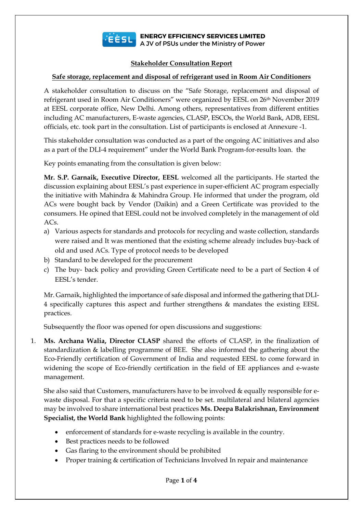

**ELECTE BUT A JV of PSUs under the Ministry of Power** 

## **Stakeholder Consultation Report**

## **Safe storage, replacement and disposal of refrigerant used in Room Air Conditioners**

A stakeholder consultation to discuss on the "Safe Storage, replacement and disposal of refrigerant used in Room Air Conditioners" were organized by EESL on 26th November 2019 at EESL corporate office, New Delhi. Among others, representatives from different entities including AC manufacturers, E-waste agencies, CLASP, ESCOs, the World Bank, ADB, EESL officials, etc. took part in the consultation. List of participants is enclosed at Annexure -1.

This stakeholder consultation was conducted as a part of the ongoing AC initiatives and also as a part of the DLI-4 requirement" under the World Bank Program-for-results loan. the

Key points emanating from the consultation is given below:

**Mr. S.P. Garnaik, Executive Director, EESL** welcomed all the participants. He started the discussion explaining about EESL's past experience in super-efficient AC program especially the initiative with Mahindra & Mahindra Group. He informed that under the program, old ACs were bought back by Vendor (Daikin) and a Green Certificate was provided to the consumers. He opined that EESL could not be involved completely in the management of old ACs.

- a) Various aspects for standards and protocols for recycling and waste collection, standards were raised and It was mentioned that the existing scheme already includes buy-back of old and used ACs. Type of protocol needs to be developed
- b) Standard to be developed for the procurement
- c) The buy- back policy and providing Green Certificate need to be a part of Section 4 of EESL's tender.

Mr. Garnaik, highlighted the importance of safe disposal and informed the gathering that DLI-4 specifically captures this aspect and further strengthens & mandates the existing EESL practices.

Subsequently the floor was opened for open discussions and suggestions:

1. **Ms. Archana Walia, Director CLASP** shared the efforts of CLASP, in the finalization of standardization & labelling programme of BEE. She also informed the gathering about the Eco-Friendly certification of Government of India and requested EESL to come forward in widening the scope of Eco-friendly certification in the field of EE appliances and e-waste management.

She also said that Customers, manufacturers have to be involved & equally responsible for ewaste disposal. For that a specific criteria need to be set. multilateral and bilateral agencies may be involved to share international best practices **Ms. Deepa Balakrishnan, Environment Specialist, the World Bank** highlighted the following points:

- enforcement of standards for e-waste recycling is available in the country.
- Best practices needs to be followed
- Gas flaring to the environment should be prohibited
- Proper training & certification of Technicians Involved In repair and maintenance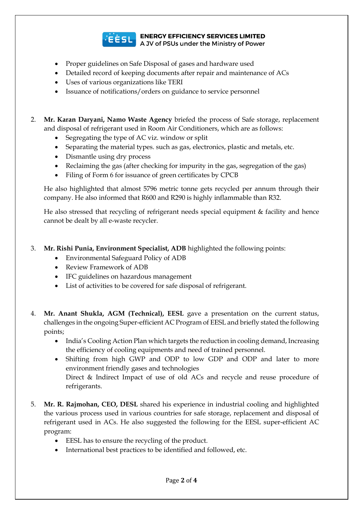

**ELECTE SUPPOSE SERVICES LIMITED**<br>A JV of PSUs under the Ministry of Power

- 
- Proper guidelines on Safe Disposal of gases and hardware used
- Detailed record of keeping documents after repair and maintenance of ACs
- Uses of various organizations like TERI
- Issuance of notifications/orders on guidance to service personnel

2. **Mr. Karan Daryani, Namo Waste Agency** briefed the process of Safe storage, replacement and disposal of refrigerant used in Room Air Conditioners, which are as follows:

- Segregating the type of AC viz. window or split
- Separating the material types. such as gas, electronics, plastic and metals, etc.
- Dismantle using dry process
- Reclaiming the gas (after checking for impurity in the gas, segregation of the gas)
- Filing of Form 6 for issuance of green certificates by CPCB

He also highlighted that almost 5796 metric tonne gets recycled per annum through their company. He also informed that R600 and R290 is highly inflammable than R32.

He also stressed that recycling of refrigerant needs special equipment & facility and hence cannot be dealt by all e-waste recycler.

- 3. **Mr. Rishi Punia, Environment Specialist, ADB** highlighted the following points:
	- Environmental Safeguard Policy of ADB
	- Review Framework of ADB
	- IFC guidelines on hazardous management
	- List of activities to be covered for safe disposal of refrigerant.
- 4. **Mr. Anant Shukla, AGM (Technical), EESL** gave a presentation on the current status, challenges in the ongoing Super-efficient AC Program of EESL and briefly stated the following points;
	- India's Cooling Action Plan which targets the reduction in cooling demand, Increasing the efficiency of cooling equipments and need of trained personnel.
	- Shifting from high GWP and ODP to low GDP and ODP and later to more environment friendly gases and technologies Direct & Indirect Impact of use of old ACs and recycle and reuse procedure of refrigerants.
- 5. **Mr. R. Rajmohan, CEO, DESL** shared his experience in industrial cooling and highlighted the various process used in various countries for safe storage, replacement and disposal of refrigerant used in ACs. He also suggested the following for the EESL super-efficient AC program:
	- EESL has to ensure the recycling of the product.
	- International best practices to be identified and followed, etc.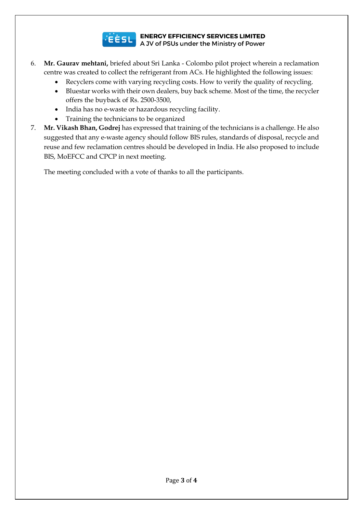

## **ELECTE SUPPOSE SERVICES LIMITED**<br>A JV of PSUs under the Ministry of Power

- 6. **Mr. Gaurav mehtani,** briefed about Sri Lanka Colombo pilot project wherein a reclamation centre was created to collect the refrigerant from ACs. He highlighted the following issues:
	- Recyclers come with varying recycling costs. How to verify the quality of recycling.
	- Bluestar works with their own dealers, buy back scheme. Most of the time, the recycler offers the buyback of Rs. 2500-3500,
	- India has no e-waste or hazardous recycling facility.
	- Training the technicians to be organized
- 7. **Mr. Vikash Bhan, Godrej** has expressed that training of the technicians is a challenge. He also suggested that any e-waste agency should follow BIS rules, standards of disposal, recycle and reuse and few reclamation centres should be developed in India. He also proposed to include BIS, MoEFCC and CPCP in next meeting.

The meeting concluded with a vote of thanks to all the participants.